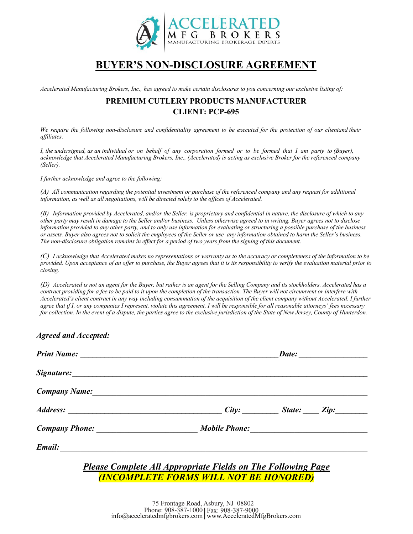

## **BUYER'S NON-DISCLOSURE AGREEMENT**

Accelerated Manufacturing Brokers, Inc., has agreed to make certain disclosures to you concerning our exclusive listing of:

## **PREMIUM CUTLERY PRODUCTS MANUFACTURER CLIENT: PCP-695**

We require the following non-disclosure and confidentiality agreement to be executed for the protection of our clientand their *affiliates:*

I, the undersigned, as an individual or on behalf of any corporation formed or to be formed that I am party to (Buyer), *acknowledge that Accelerated Manufacturing Brokers, Inc., (Accelerated) is acting as exclusive Broker for the referenced company (Seller).*

*I further acknowledge and agree to the following:*

*(A) All communication regarding the potential investment or purchase of the referenced company and any request for additional information, as well as all negotiations, will be directed solely to the offices of Accelerated.*

*(B) Information provided by Accelerated, and/or the Seller, is proprietary and confidential in nature, the disclosure of which to any other party may result in damage to the Seller and/or business. Unless otherwise agreed to in writing, Buyer agrees not to disclose information provided to any other party, and to only use information for evaluating or structuring a possible purchase of the business or assets. Buyer also agrees not to solicit the employees of the Seller or use any information obtained to harm the Seller's business. The non-disclosure obligation remains in effect for a period of two years from the signing of this document.*

*(C) I acknowledge that Accelerated makes no representations or warranty as to the accuracy or completeness of the information to be provided. Upon acceptance of an offer to purchase, the Buyer agrees that it is its responsibility to verify the evaluation material prior to closing.*

*(D) Accelerated is not an agent for the Buyer, but rather is an agent for the Selling Company and its stockholders. Accelerated has a contract providing for a fee to be paid to it upon the completion of the transaction. The Buyer will not circumvent or interfere with* Accelerated's client contract in any way including consummation of the acquisition of the client company without Accelerated. I further *agree that if I, or any companies I represent, violate this agreement, I will be responsible for all reasonable attorneys' fees necessary for collection. In the event of a dispute, the parties agree to the exclusive jurisdiction of the State of New Jersey, County of Hunterdon.*

## *Agreed and Accepted:*

|                                  | Date:             |  |
|----------------------------------|-------------------|--|
|                                  |                   |  |
| Company Name: 1988 Company Name: |                   |  |
|                                  | City: State: Zip: |  |
|                                  |                   |  |
|                                  |                   |  |

*Please Complete All Appropriate Fields on The Following Page (INCOMPLETE FORMS WILL NOT BE HONORED)*